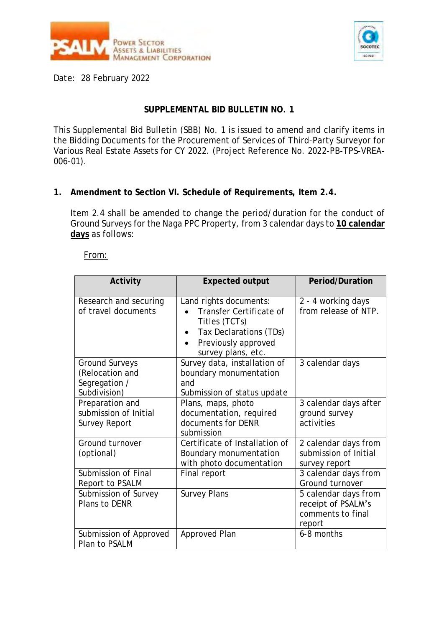



Date: 28 February 2022

## **SUPPLEMENTAL BID BULLETIN NO. 1**

This Supplemental Bid Bulletin (SBB) No. 1 is issued to amend and clarify items in the Bidding Documents for the Procurement of Services of Third-Party Surveyor for Various Real Estate Assets for CY 2022. (Project Reference No. 2022-PB-TPS-VREA-006-01).

**1. Amendment to Section VI. Schedule of Requirements, Item 2.4.**

Item 2.4 shall be amended to change the period/duration for the conduct of Ground Surveys for the Naga PPC Property, from 3 calendar days to **10 calendar days** as follows:

## From:

| Activity                                                           | Expected output                                                                                                                           | Period/Duration                                                           |
|--------------------------------------------------------------------|-------------------------------------------------------------------------------------------------------------------------------------------|---------------------------------------------------------------------------|
| Research and securing<br>of travel documents                       | Land rights documents:<br>Transfer Certificate of<br>Titles (TCTs)<br>Tax Declarations (TDs)<br>Previously approved<br>survey plans, etc. | 2 - 4 working days<br>from release of NTP.                                |
| Ground Surveys<br>(Relocation and<br>Segregation /<br>Subdivision) | Survey data, installation of<br>boundary monumentation<br>and<br>Submission of status update                                              | 3 calendar days                                                           |
| Preparation and<br>submission of Initial<br>Survey Report          | Plans, maps, photo<br>documentation, required<br>documents for DENR<br>submission                                                         | 3 calendar days after<br>ground survey<br>activities                      |
| Ground turnover<br>(optional)                                      | Certificate of Installation of<br>Boundary monumentation<br>with photo documentation                                                      | 2 calendar days from<br>submission of Initial<br>survey report            |
| Submission of Final<br>Report to PSALM                             | Final report                                                                                                                              | 3 calendar days from<br>Ground turnover                                   |
| Submission of Survey<br>Plans to DENR                              | Survey Plans                                                                                                                              | 5 calendar days from<br>receipt of PSALM's<br>comments to final<br>report |
| Submission of Approved<br>Plan to PSALM                            | Approved Plan                                                                                                                             | 6-8 months                                                                |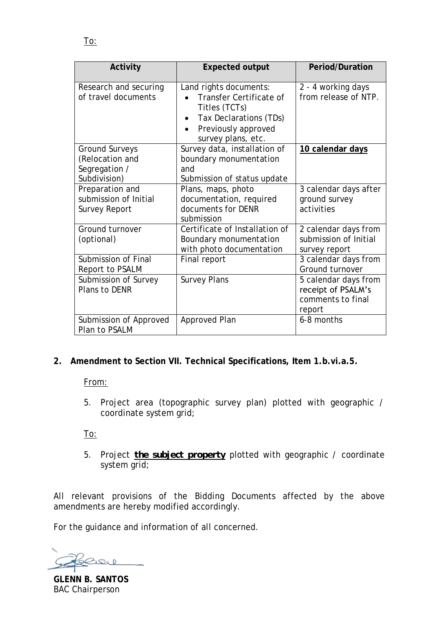To:

| Activity                                                           | Expected output                                                                                                                           | Period/Duration                                                           |
|--------------------------------------------------------------------|-------------------------------------------------------------------------------------------------------------------------------------------|---------------------------------------------------------------------------|
| Research and securing<br>of travel documents                       | Land rights documents:<br>Transfer Certificate of<br>Titles (TCTs)<br>Tax Declarations (TDs)<br>Previously approved<br>survey plans, etc. | 2 - 4 working days<br>from release of NTP.                                |
| Ground Surveys<br>(Relocation and<br>Segregation /<br>Subdivision) | Survey data, installation of<br>boundary monumentation<br>and<br>Submission of status update                                              | 10 calendar days                                                          |
| Preparation and<br>submission of Initial<br>Survey Report          | Plans, maps, photo<br>documentation, required<br>documents for DENR<br>submission                                                         | 3 calendar days after<br>ground survey<br>activities                      |
| Ground turnover<br>(optional)                                      | Certificate of Installation of<br>Boundary monumentation<br>with photo documentation                                                      | 2 calendar days from<br>submission of Initial<br>survey report            |
| Submission of Final<br>Report to PSALM                             | Final report                                                                                                                              | 3 calendar days from<br>Ground turnover                                   |
| Submission of Survey<br>Plans to DENR                              | <b>Survey Plans</b>                                                                                                                       | 5 calendar days from<br>receipt of PSALM's<br>comments to final<br>report |
| Submission of Approved<br>Plan to PSALM                            | Approved Plan                                                                                                                             | 6-8 months                                                                |

**2. Amendment to Section VII. Technical Specifications, Item 1.b.vi.a.5.**

From:

5. Project area (topographic survey plan) plotted with geographic / coordinate system grid;

To:

5. Project *the subject property* plotted with geographic / coordinate system grid;

All relevant provisions of the Bidding Documents affected by the above amendments are hereby modified accordingly.

For the guidance and information of all concerned.

ふへ

**GLENN B. SANTOS** BAC Chairperson